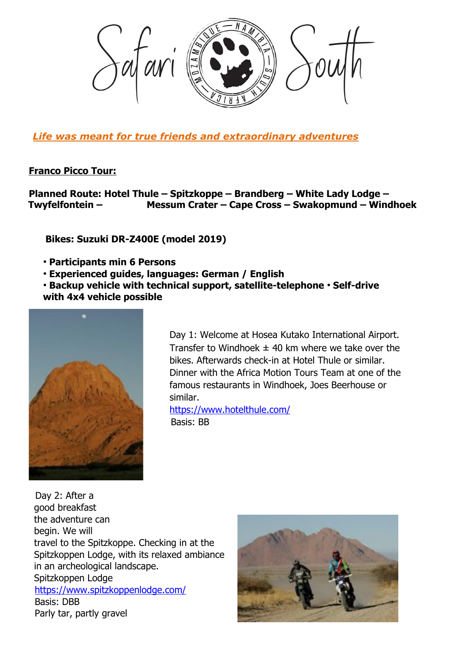

*Life was meant for true friends and extraordinary adventures*

## **Franco Picco Tour:**

**Planned Route: Hotel Thule – Spitzkoppe – Brandberg – White Lady Lodge – Twyfelfontein – Messum Crater – Cape Cross – Swakopmund – Windhoek**

 **Bikes: Suzuki DR-Z400E (model 2019)**

- **Participants min 6 Persons**
- **Experienced guides, languages: German / English**

• **Backup vehicle with technical support, satellite-telephone** • **Self-drive with 4x4 vehicle possible**



Day 1: Welcome at Hosea Kutako International Airport. Transfer to Windhoek  $\pm$  40 km where we take over the bikes. Afterwards check-in at Hotel Thule or similar. Dinner with the Africa Motion Tours Team at one of the famous restaurants in Windhoek, Joes Beerhouse or similar.

https://www.hotelthule.com/ Basis: BB

 Day 2: After a good breakfast the adventure can begin. We will travel to the Spitzkoppe. Checking in at the Spitzkoppen Lodge, with its relaxed ambiance in an archeological landscape. Spitzkoppen Lodge https://www.spitzkoppenlodge.com/ Basis: DBB Parly tar, partly gravel